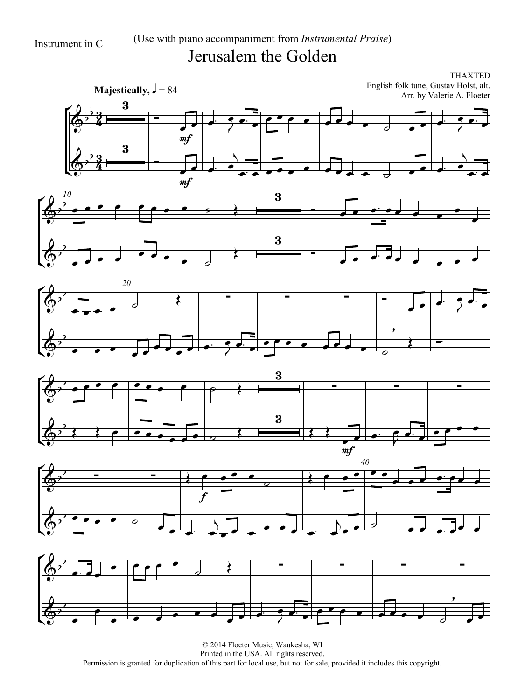## Instrument in C (Use with piano accompaniment from *Instrumental Praise*) Jerusalem the Golden

THAXTED English folk tune, Gustav Holst, alt. Arr. by Valerie A. Floeter













© 2014 Floeter Music, Waukesha, WI Printed in the USA. All rights reserved. Permission is granted for duplication of this part for local use, but not for sale, provided it includes this copyright.